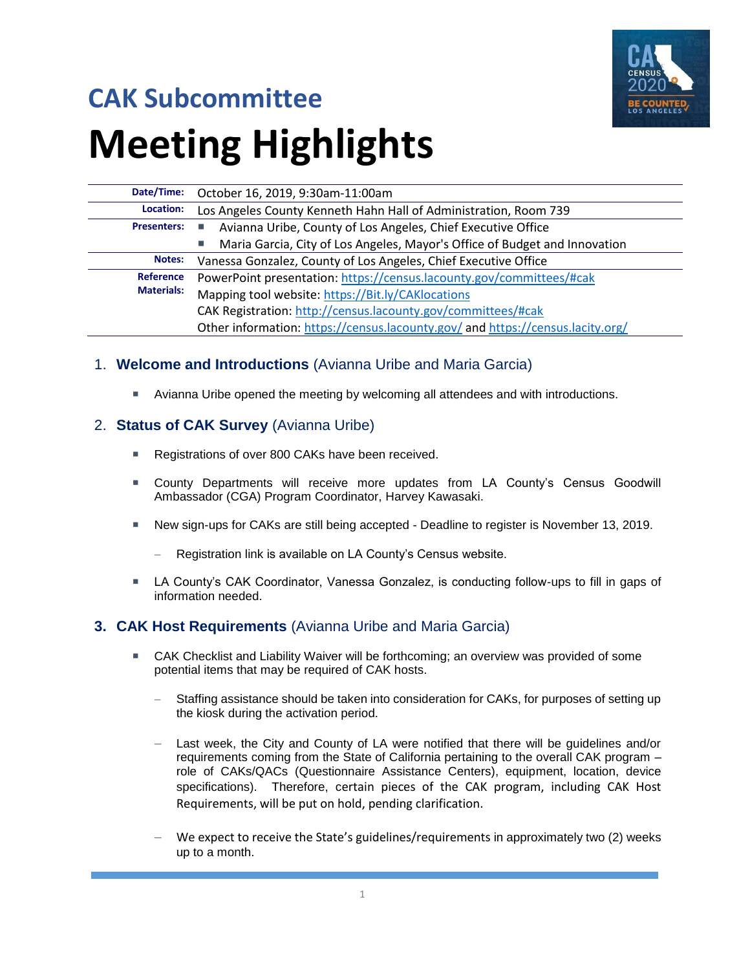

# **CAK Subcommittee Meeting Highlights**

| Date/Time:         | October 16, 2019, 9:30am-11:00am                                                 |  |
|--------------------|----------------------------------------------------------------------------------|--|
| Location:          | Los Angeles County Kenneth Hahn Hall of Administration, Room 739                 |  |
| <b>Presenters:</b> | Avianna Uribe, County of Los Angeles, Chief Executive Office                     |  |
|                    | Maria Garcia, City of Los Angeles, Mayor's Office of Budget and Innovation<br>u, |  |
| Notes:             | Vanessa Gonzalez, County of Los Angeles, Chief Executive Office                  |  |
| <b>Reference</b>   | PowerPoint presentation: https://census.lacounty.gov/committees/#cak             |  |
| <b>Materials:</b>  | Mapping tool website: https://Bit.ly/CAKlocations                                |  |
|                    | CAK Registration: http://census.lacounty.gov/committees/#cak                     |  |
|                    | Other information: https://census.lacounty.gov/ and https://census.lacity.org/   |  |

### 1. **Welcome and Introductions** (Avianna Uribe and Maria Garcia)

Avianna Uribe opened the meeting by welcoming all attendees and with introductions.

### 2. **Status of CAK Survey** (Avianna Uribe)

- Registrations of over 800 CAKs have been received.
- County Departments will receive more updates from LA County's Census Goodwill Ambassador (CGA) Program Coordinator, Harvey Kawasaki.
- New sign-ups for CAKs are still being accepted Deadline to register is November 13, 2019.
	- Registration link is available on LA County's Census website.
- LA County's CAK Coordinator, Vanessa Gonzalez, is conducting follow-ups to fill in gaps of information needed.

#### **3. CAK Host Requirements** (Avianna Uribe and Maria Garcia)

- CAK Checklist and Liability Waiver will be forthcoming; an overview was provided of some potential items that may be required of CAK hosts.
	- Staffing assistance should be taken into consideration for CAKs, for purposes of setting up the kiosk during the activation period.
	- Last week, the City and County of LA were notified that there will be guidelines and/or requirements coming from the State of California pertaining to the overall CAK program – role of CAKs/QACs (Questionnaire Assistance Centers), equipment, location, device specifications). Therefore, certain pieces of the CAK program, including CAK Host Requirements, will be put on hold, pending clarification.
	- We expect to receive the State's guidelines/requirements in approximately two (2) weeks up to a month.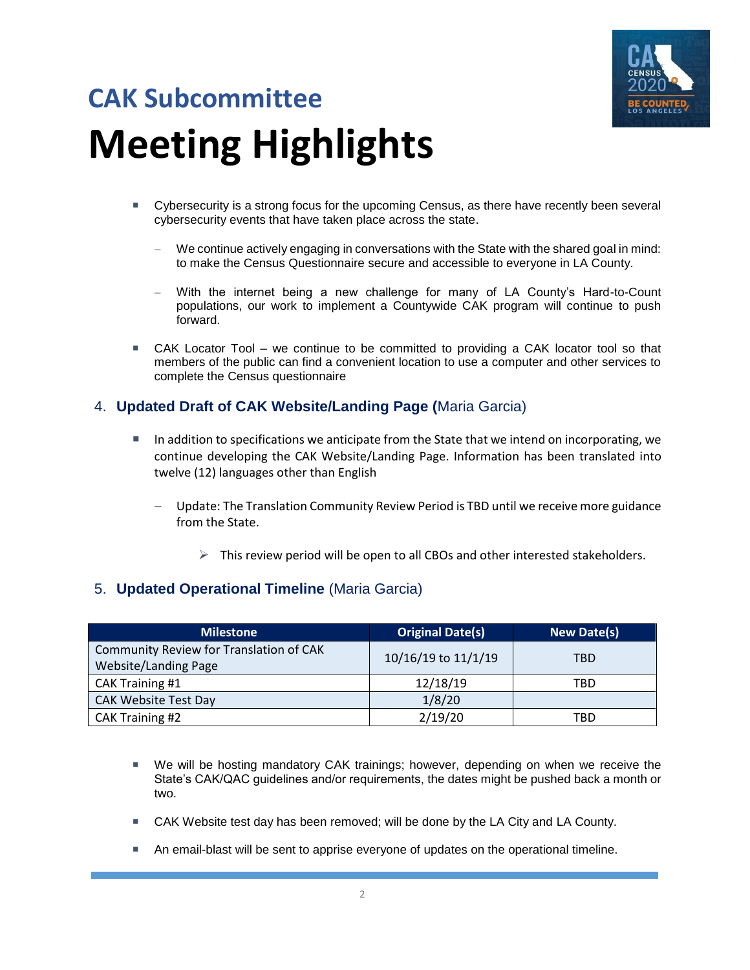

## **CAK Subcommittee Meeting Highlights**

- Cybersecurity is a strong focus for the upcoming Census, as there have recently been several cybersecurity events that have taken place across the state.
	- − We continue actively engaging in conversations with the State with the shared goal in mind: to make the Census Questionnaire secure and accessible to everyone in LA County.
	- With the internet being a new challenge for many of LA County's Hard-to-Count populations, our work to implement a Countywide CAK program will continue to push forward.
- CAK Locator Tool we continue to be committed to providing a CAK locator tool so that members of the public can find a convenient location to use a computer and other services to complete the Census questionnaire

### 4. **Updated Draft of CAK Website/Landing Page (**Maria Garcia)

- In addition to specifications we anticipate from the State that we intend on incorporating, we continue developing the CAK Website/Landing Page. Information has been translated into twelve (12) languages other than English
	- Update: The Translation Community Review Period is TBD until we receive more guidance from the State.
		- $\triangleright$  This review period will be open to all CBOs and other interested stakeholders.

### 5. **Updated Operational Timeline** (Maria Garcia)

| <b>Milestone</b>                                                | <b>Original Date(s)</b> | <b>New Date(s)</b> |
|-----------------------------------------------------------------|-------------------------|--------------------|
| Community Review for Translation of CAK<br>Website/Landing Page | 10/16/19 to 11/1/19     | TBD                |
| CAK Training #1                                                 | 12/18/19                | TBD                |
| <b>CAK Website Test Day</b>                                     | 1/8/20                  |                    |
| CAK Training #2                                                 | 2/19/20                 | TBD                |

- We will be hosting mandatory CAK trainings; however, depending on when we receive the State's CAK/QAC guidelines and/or requirements, the dates might be pushed back a month or two.
- CAK Website test day has been removed; will be done by the LA City and LA County.
- An email-blast will be sent to apprise everyone of updates on the operational timeline.